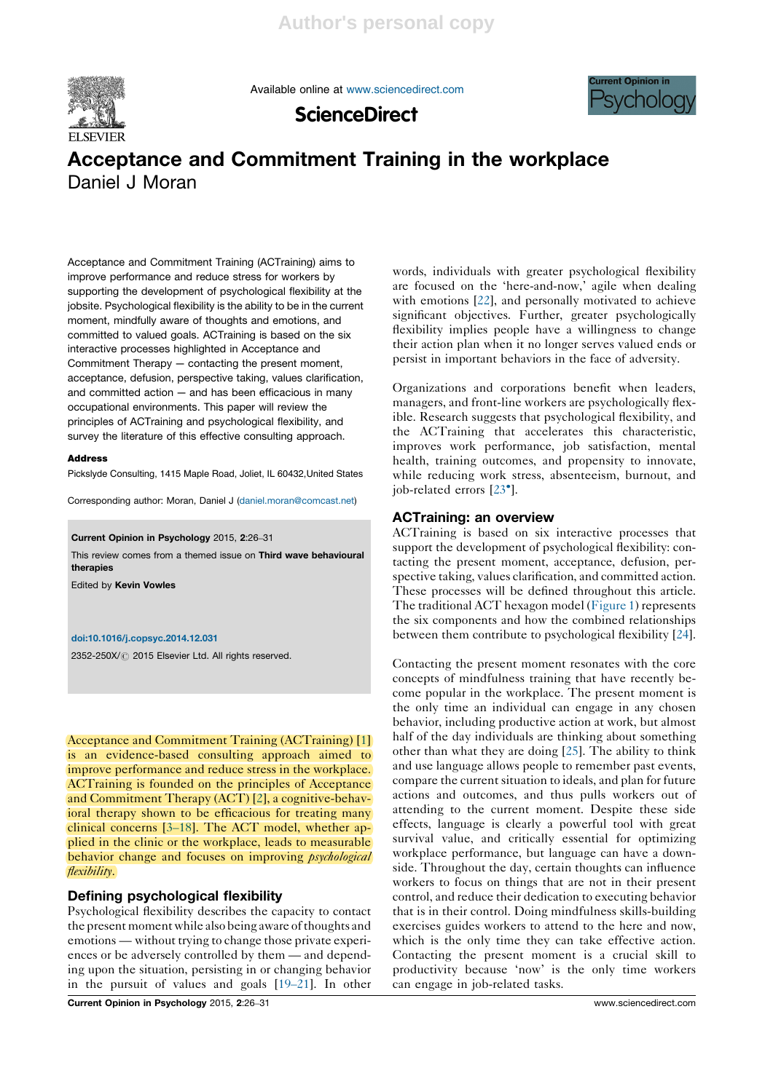

Available online at www.sciencedirect.com



# ScienceDirect

# Acceptance and Commitment Training in the workplace Daniel J Moran

Acceptance and Commitment Training (ACTraining) aims to improve performance and reduce stress for workers by supporting the development of psychological flexibility at the jobsite. Psychological flexibility is the ability to be in the current moment, mindfully aware of thoughts and emotions, and committed to valued goals. ACTraining is based on the six interactive processes highlighted in Acceptance and Commitment Therapy — contacting the present moment, acceptance, defusion, perspective taking, values clarification, and committed action — and has been efficacious in many occupational environments. This paper will review the principles of ACTraining and psychological flexibility, and survey the literature of this effective consulting approach.

## Address

Pickslyde Consulting, 1415 Maple Road, Joliet, IL 60432,United States

Corresponding author: Moran, Daniel J (daniel.moran@comcast.net)

Current Opinion in Psychology 2015, 2:26–31

This review comes from a themed issue on Third wave behavioural therapies

Edited by Kevin Vowles

#### doi:10.1016/j.copsyc.2014.12.031

2352-250X/ @ 2015 Elsevier Ltd. All rights reserved.

Acceptance and Commitment Training (ACTraining) [1] is an evidence-based consulting approach aimed to improve performance and reduce stress in the workplace. ACTraining is founded on the principles of Acceptance and Commitment Therapy (ACT) [2], a cognitive-behavioral therapy shown to be efficacious for treating many clinical concerns [3–18]. The ACT model, whether applied in the clinic or the workplace, leads to measurable behavior change and focuses on improving *psychological* flexibility.

## Defining psychological flexibility

Psychological flexibility describes the capacity to contact the present moment while also being aware of thoughts and emotions — without trying to change those private experiences or be adversely controlled by them — and depending upon the situation, persisting in or changing behavior in the pursuit of values and goals [19–21]. In other

Current Opinion in Psychology 2015, 2:26–31 www.sciencedirect.com

words, individuals with greater psychological flexibility are focused on the 'here-and-now,' agile when dealing with emotions [22], and personally motivated to achieve significant objectives. Further, greater psychologically flexibility implies people have a willingness to change their action plan when it no longer serves valued ends or persist in important behaviors in the face of adversity.

Organizations and corporations benefit when leaders, managers, and front-line workers are psychologically flexible. Research suggests that psychological flexibility, and the ACTraining that accelerates this characteristic, improves work performance, job satisfaction, mental health, training outcomes, and propensity to innovate, while reducing work stress, absenteeism, burnout, and job-related errors [23<sup>°</sup>].

## ACTraining: an overview

ACTraining is based on six interactive processes that support the development of psychological flexibility: contacting the present moment, acceptance, defusion, perspective taking, values clarification, and committed action. These processes will be defined throughout this article. The traditional ACT hexagon model (Figure 1) represents the six components and how the combined relationships between them contribute to psychological flexibility [24].

Contacting the present moment resonates with the core concepts of mindfulness training that have recently become popular in the workplace. The present moment is the only time an individual can engage in any chosen behavior, including productive action at work, but almost half of the day individuals are thinking about something other than what they are doing [25]. The ability to think and use language allows people to remember past events, compare the current situation to ideals, and plan for future actions and outcomes, and thus pulls workers out of attending to the current moment. Despite these side effects, language is clearly a powerful tool with great survival value, and critically essential for optimizing workplace performance, but language can have a downside. Throughout the day, certain thoughts can influence workers to focus on things that are not in their present control, and reduce their dedication to executing behavior that is in their control. Doing mindfulness skills-building exercises guides workers to attend to the here and now, which is the only time they can take effective action. Contacting the present moment is a crucial skill to productivity because 'now' is the only time workers can engage in job-related tasks.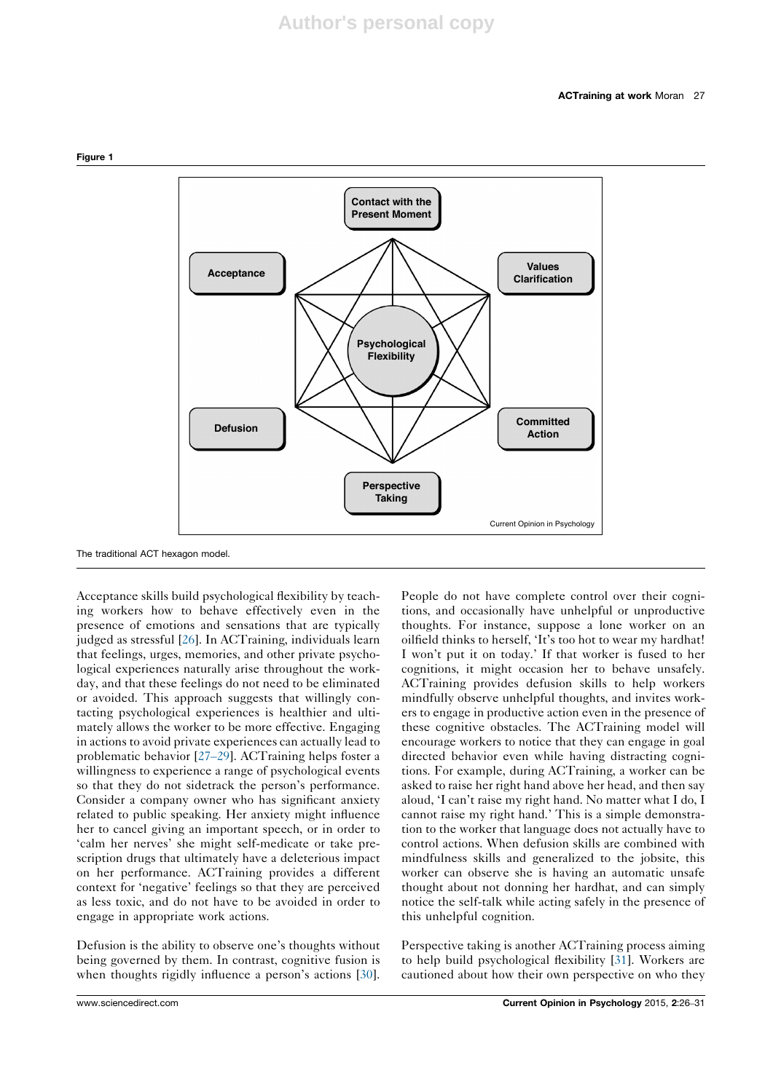

The traditional ACT hexagon model.

Figure 1

Acceptance skills build psychological flexibility by teaching workers how to behave effectively even in the presence of emotions and sensations that are typically judged as stressful [26]. In ACTraining, individuals learn that feelings, urges, memories, and other private psychological experiences naturally arise throughout the workday, and that these feelings do not need to be eliminated or avoided. This approach suggests that willingly contacting psychological experiences is healthier and ultimately allows the worker to be more effective. Engaging in actions to avoid private experiences can actually lead to problematic behavior [27–29]. ACTraining helps foster a willingness to experience a range of psychological events so that they do not sidetrack the person's performance. Consider a company owner who has significant anxiety related to public speaking. Her anxiety might influence her to cancel giving an important speech, or in order to 'calm her nerves' she might self-medicate or take prescription drugs that ultimately have a deleterious impact on her performance. ACTraining provides a different context for 'negative' feelings so that they are perceived as less toxic, and do not have to be avoided in order to engage in appropriate work actions.

Defusion is the ability to observe one's thoughts without being governed by them. In contrast, cognitive fusion is when thoughts rigidly influence a person's actions [30].

People do not have complete control over their cognitions, and occasionally have unhelpful or unproductive thoughts. For instance, suppose a lone worker on an oilfield thinks to herself, 'It's too hot to wear my hardhat! I won't put it on today.' If that worker is fused to her cognitions, it might occasion her to behave unsafely. ACTraining provides defusion skills to help workers mindfully observe unhelpful thoughts, and invites workers to engage in productive action even in the presence of these cognitive obstacles. The ACTraining model will encourage workers to notice that they can engage in goal directed behavior even while having distracting cognitions. For example, during ACTraining, a worker can be asked to raise her right hand above her head, and then say aloud, 'I can't raise my right hand. No matter what I do, I cannot raise my right hand.' This is a simple demonstration to the worker that language does not actually have to control actions. When defusion skills are combined with mindfulness skills and generalized to the jobsite, this worker can observe she is having an automatic unsafe thought about not donning her hardhat, and can simply notice the self-talk while acting safely in the presence of this unhelpful cognition.

Perspective taking is another ACTraining process aiming to help build psychological flexibility [31]. Workers are cautioned about how their own perspective on who they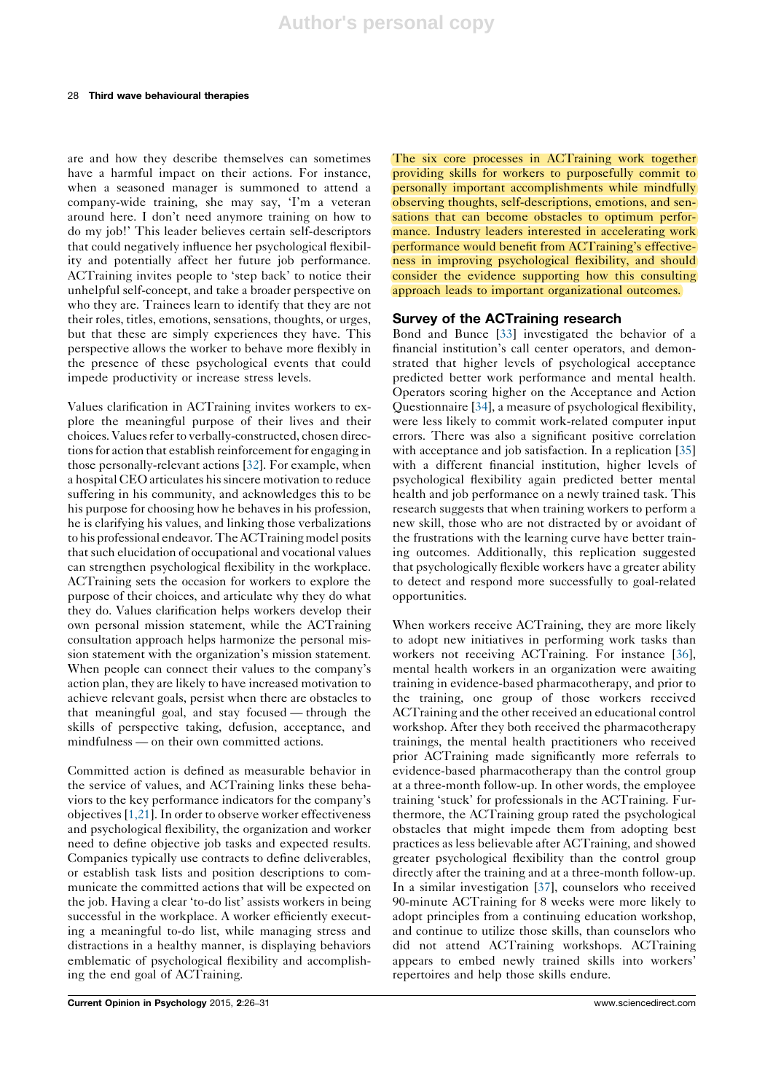### 28 Third wave behavioural therapies

are and how they describe themselves can sometimes have a harmful impact on their actions. For instance, when a seasoned manager is summoned to attend a company-wide training, she may say, 'I'm a veteran around here. I don't need anymore training on how to do my job!' This leader believes certain self-descriptors that could negatively influence her psychological flexibility and potentially affect her future job performance. ACTraining invites people to 'step back' to notice their unhelpful self-concept, and take a broader perspective on who they are. Trainees learn to identify that they are not their roles, titles, emotions, sensations, thoughts, or urges, but that these are simply experiences they have. This perspective allows the worker to behave more flexibly in the presence of these psychological events that could impede productivity or increase stress levels.

Values clarification in ACTraining invites workers to explore the meaningful purpose of their lives and their choices.Valuesrefer to verbally-constructed, chosen directions for action that establish reinforcement for engaging in those personally-relevant actions [32]. For example, when a hospital CEO articulates hissincere motivation to reduce suffering in his community, and acknowledges this to be his purpose for choosing how he behaves in his profession, he is clarifying his values, and linking those verbalizations to his professional endeavor.TheACTraining model posits that such elucidation of occupational and vocational values can strengthen psychological flexibility in the workplace. ACTraining sets the occasion for workers to explore the purpose of their choices, and articulate why they do what they do. Values clarification helps workers develop their own personal mission statement, while the ACTraining consultation approach helps harmonize the personal mission statement with the organization's mission statement. When people can connect their values to the company's action plan, they are likely to have increased motivation to achieve relevant goals, persist when there are obstacles to that meaningful goal, and stay focused — through the skills of perspective taking, defusion, acceptance, and mindfulness — on their own committed actions.

Committed action is defined as measurable behavior in the service of values, and ACTraining links these behaviors to the key performance indicators for the company's objectives [1,21]. In order to observe worker effectiveness and psychological flexibility, the organization and worker need to define objective job tasks and expected results. Companies typically use contracts to define deliverables, or establish task lists and position descriptions to communicate the committed actions that will be expected on the job. Having a clear 'to-do list' assists workers in being successful in the workplace. A worker efficiently executing a meaningful to-do list, while managing stress and distractions in a healthy manner, is displaying behaviors emblematic of psychological flexibility and accomplishing the end goal of ACTraining.

The six core processes in ACTraining work together providing skills for workers to purposefully commit to personally important accomplishments while mindfully observing thoughts, self-descriptions, emotions, and sensations that can become obstacles to optimum performance. Industry leaders interested in accelerating work performance would benefit from ACTraining's effectiveness in improving psychological flexibility, and should consider the evidence supporting how this consulting approach leads to important organizational outcomes.

## Survey of the ACTraining research

Bond and Bunce [33] investigated the behavior of a financial institution's call center operators, and demonstrated that higher levels of psychological acceptance predicted better work performance and mental health. Operators scoring higher on the Acceptance and Action Questionnaire [34], a measure of psychological flexibility, were less likely to commit work-related computer input errors. There was also a significant positive correlation with acceptance and job satisfaction. In a replication [35] with a different financial institution, higher levels of psychological flexibility again predicted better mental health and job performance on a newly trained task. This research suggests that when training workers to perform a new skill, those who are not distracted by or avoidant of the frustrations with the learning curve have better training outcomes. Additionally, this replication suggested that psychologically flexible workers have a greater ability to detect and respond more successfully to goal-related opportunities.

When workers receive ACTraining, they are more likely to adopt new initiatives in performing work tasks than workers not receiving ACTraining. For instance [36], mental health workers in an organization were awaiting training in evidence-based pharmacotherapy, and prior to the training, one group of those workers received ACTraining and the other received an educational control workshop. After they both received the pharmacotherapy trainings, the mental health practitioners who received prior ACTraining made significantly more referrals to evidence-based pharmacotherapy than the control group at a three-month follow-up. In other words, the employee training 'stuck' for professionals in the ACTraining. Furthermore, the ACTraining group rated the psychological obstacles that might impede them from adopting best practices as less believable after ACTraining, and showed greater psychological flexibility than the control group directly after the training and at a three-month follow-up. In a similar investigation [37], counselors who received 90-minute ACTraining for 8 weeks were more likely to adopt principles from a continuing education workshop, and continue to utilize those skills, than counselors who did not attend ACTraining workshops. ACTraining appears to embed newly trained skills into workers' repertoires and help those skills endure.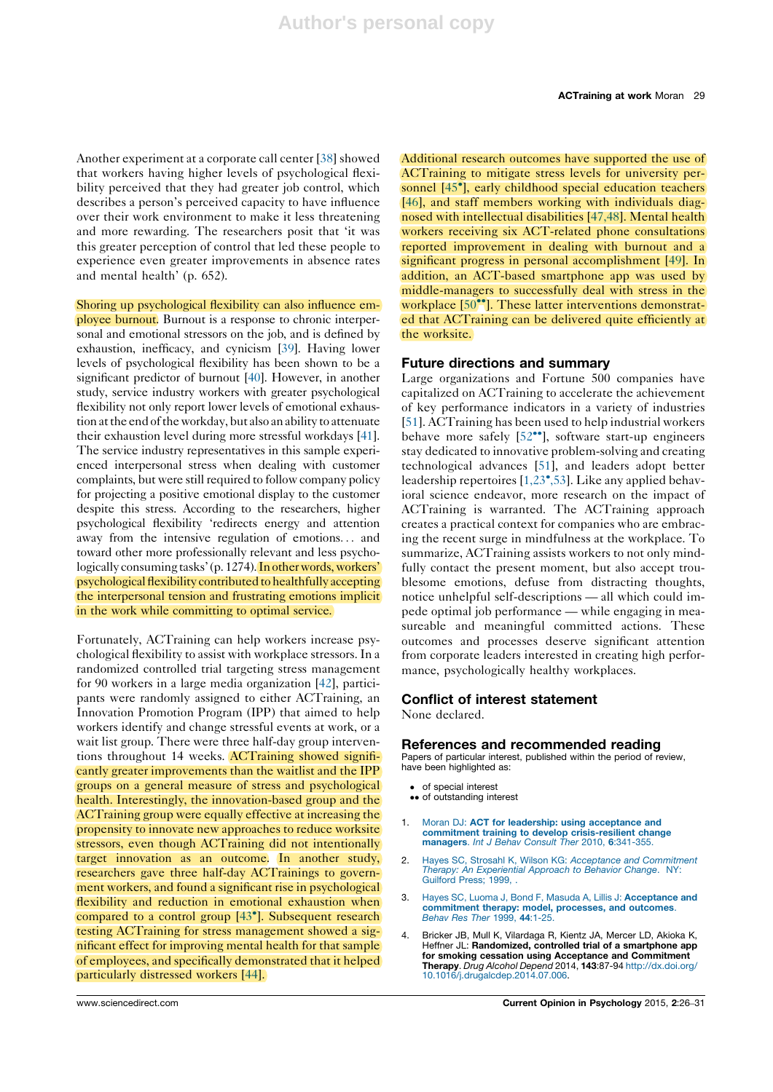Another experiment at a corporate call center [38] showed that workers having higher levels of psychological flexibility perceived that they had greater job control, which describes a person's perceived capacity to have influence over their work environment to make it less threatening and more rewarding. The researchers posit that 'it was this greater perception of control that led these people to experience even greater improvements in absence rates and mental health' (p. 652).

Shoring up psychological flexibility can also influence em-

ployee burnout. Burnout is a response to chronic interpersonal and emotional stressors on the job, and is defined by exhaustion, inefficacy, and cynicism [39]. Having lower levels of psychological flexibility has been shown to be a significant predictor of burnout [40]. However, in another study, service industry workers with greater psychological flexibility not only report lower levels of emotional exhaustion at the end of the workday, but also an ability to attenuate their exhaustion level during more stressful workdays [41]. The service industry representatives in this sample experienced interpersonal stress when dealing with customer complaints, but were still required to follow company policy for projecting a positive emotional display to the customer despite this stress. According to the researchers, higher psychological flexibility 'redirects energy and attention away from the intensive regulation of emotions... and toward other more professionally relevant and less psychologically consuming tasks' (p. 1274). In other words, workers' psychological flexibility contributed to healthfully accepting the interpersonal tension and frustrating emotions implicit in the work while committing to optimal service.

Fortunately, ACTraining can help workers increase psychological flexibility to assist with workplace stressors. In a randomized controlled trial targeting stress management for 90 workers in a large media organization [42], participants were randomly assigned to either ACTraining, an Innovation Promotion Program (IPP) that aimed to help workers identify and change stressful events at work, or a wait list group. There were three half-day group interventions throughout 14 weeks. ACTraining showed significantly greater improvements than the waitlist and the IPP groups on a general measure of stress and psychological health. Interestingly, the innovation-based group and the ACTraining group were equally effective at increasing the propensity to innovate new approaches to reduce worksite stressors, even though ACTraining did not intentionally target innovation as an outcome. In another study, researchers gave three half-day ACTrainings to government workers, and found a significant rise in psychological flexibility and reduction in emotional exhaustion when compared to a control group [43<sup>°</sup>]. Subsequent research testing ACTraining for stress management showed a significant effect for improving mental health for that sample of employees, and specifically demonstrated that it helped particularly distressed workers [44].

Additional research outcomes have supported the use of ACTraining to mitigate stress levels for university personnel [45<sup>°</sup>], early childhood special education teachers [46], and staff members working with individuals diagnosed with intellectual disabilities [47,48]. Mental health workers receiving six ACT-related phone consultations reported improvement in dealing with burnout and a significant progress in personal accomplishment [49]. In addition, an ACT-based smartphone app was used by middle-managers to successfully deal with stress in the workplace [50<sup>\*</sup>]. These latter interventions demonstrated that ACTraining can be delivered quite efficiently at the worksite.

## Future directions and summary

Large organizations and Fortune 500 companies have capitalized on ACTraining to accelerate the achievement of key performance indicators in a variety of industries [51]. ACTraining has been used to help industrial workers behave more safely [52<sup>••</sup>], software start-up engineers stay dedicated to innovative problem-solving and creating technological advances [51], and leaders adopt better leadership repertoires [1,23<sup>°</sup>,53]. Like any applied behavioral science endeavor, more research on the impact of ACTraining is warranted. The ACTraining approach creates a practical context for companies who are embracing the recent surge in mindfulness at the workplace. To summarize, ACTraining assists workers to not only mindfully contact the present moment, but also accept troublesome emotions, defuse from distracting thoughts, notice unhelpful self-descriptions — all which could impede optimal job performance — while engaging in measureable and meaningful committed actions. These outcomes and processes deserve significant attention from corporate leaders interested in creating high performance, psychologically healthy workplaces.

## Conflict of interest statement

None declared.

## References and recommended reading

Papers of particular interest, published within the period of review, have been highlighted as:

- of special interest
- •• of outstanding interest
- 1. Moran DJ: ACT for leadership: using acceptance and commitment training to develop crisis-resilient change managers. Int J Behav Consult Ther 2010, 6:341-355.
- 2. Hayes SC, Strosahl K, Wilson KG: Acceptance and Commitment Therapy: An Experiential Approach to Behavior Change. NY: Guilford Press; 1999,
- Hayes SC, Luoma J, Bond F, Masuda A, Lillis J: Acceptance and commitment therapy: model, processes, and outcomes. Behav Res Ther 1999, 44:1-25.
- 4. Bricker JB, Mull K, Vilardaga R, Kientz JA, Mercer LD, Akioka K, Heffner JL: Randomized, controlled trial of a smartphone app for smoking cessation using Acceptance and Commitment Therapy. Drug Alcohol Depend 2014, 143:87-94 http://dx.doi.org/ 10.1016/j.drugalcdep.2014.07.006.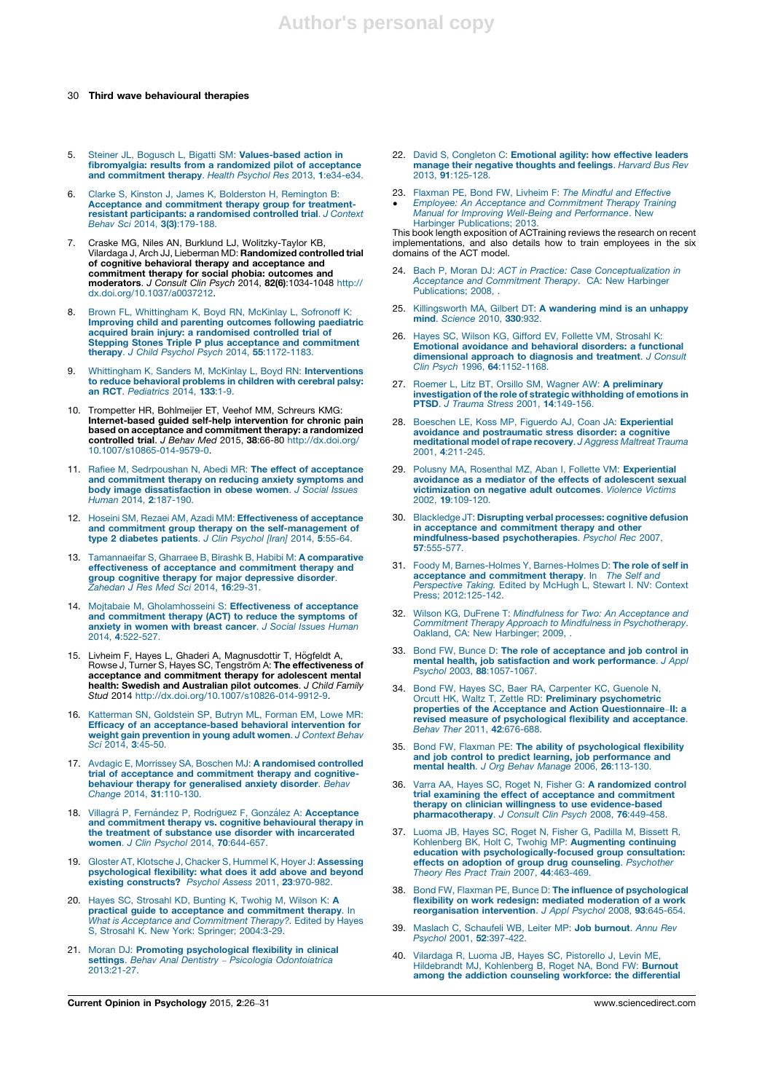### 30 Third wave behavioural therapies

- 5. Steiner JL, Bogusch L, Bigatti SM: Values-based action in fibromyalgia: results from a randomized pilot of acceptance and commitment therapy. Health Psychol Res 2013, 1:e34-e34.
- 6. Clarke S, Kinston J, James K, Bolderston H, Remington B: Acceptance and commitment therapy group for treatmentresistant participants: a randomised controlled trial. J Context Behav Sci 2014, 3(3):179-188.
- 7. Craske MG, Niles AN, Burklund LJ, Wolitzky-Taylor KB,<br>Vilardaga J, Arch JJ, Lieberman MD: **Randomized controlled trial**<br>of cognitive behavioral therapy nd acceptance and<br>commitment therapy for social phobia: outcomes an moderators. J Consult Clin Psych 2014, 82(6):1034-1048 http:// dx.doi.org/10.1037/a0037212.
- 8. Brown FL, Whittingham K, Boyd RN, McKinlay L, Sofronoff K: Improving child and parenting outcomes following paediatric acquired brain injury: a randomised controlled trial of Stepping Stones Triple P plus acceptance and commitment therapy. J Child Psychol Psych 2014, 55:1172-1183.
- 9. Whittingham K, Sanders M, McKinlay L, Boyd RN: Interventions to reduce behavioral problems in children with cerebral palsy: an RCT. Pediatrics 2014, 133:1-9.
- 10. Trompetter HR, Bohlmeijer ET, Veehof MM, Schreurs KMG: Internet-based guided self-help intervention for chronic pain based on acceptance and commitment therapy: a randomized controlled trial. J Behav Med 2015, 38:66-80 http://dx.doi.org/ 10.1007/s10865-014-9579-0.
- 11. Rafiee M, Sedrpoushan N, Abedi MR: The effect of acceptance and commitment therapy on reducing anxiety symptoms and **body image dissatisfaction in obese women**. *J Social Issues*<br>Human 2014, **2**:187-190.
- 12. Hoseini SM, Rezaei AM, Azadi MM: Effectiveness of acceptance and commitment group therapy on the self-management of type 2 diabetes patients. J Clin Psychol [Iran] 2014, 5:55-64.
- 13. Tamannaeifar S, Gharraee B, Birashk B, Habibi M: A comparative effectiveness of acceptance and commitment therapy and group cognitive therapy for major depressive disorder. Zahedan J Res Med Sci 2014, 16:29-31.
- 14. Moitabaie M, Gholamhosseini S: Effectiveness of acceptance and commitment therapy (ACT) to reduce the symptoms of anxiety in women with breast cancer. J Social Issues Human 2014, 4:522-527.
- 15. Livheim F, Hayes L, Ghaderi A, Magnusdottir T, Högfeldt A,<br>Rowse J, Turner S, Hayes SC, Tengström A: **The effectiveness of** acceptance and commitment therapy for adolescent mental **health: Swedish and Australian pilot outcomes**. *J Child Family*<br>*Stud 2*014 http://dx.doi.org/10.1007/s10826-014-9912-9.
- 16. Katterman SN, Goldstein SP, Butryn ML, Forman EM, Lowe MR: Efficacy of an acceptance-based behavioral intervention for weight gain prevention in young adult women. J Context Behav Sci 2014, 3:45-50.
- 17. Avdagic E, Morrissey SA, Boschen MJ: A randomised controlled trial of acceptance and commitment therapy and cognitivebehaviour therapy for generalised anxiety disorder. Behav<br>Change 2014, 31:110-130.
- 18. Villagrá P, Fernández P, Rodríguez F, González A: Acceptance and commitment therapy vs. cognitive behavioural therapy in the treatment of substance use disorder with incarcerated<br>women. J Clin Psychol 2014, 70:644-657.
- 19. Gloster AT, Klotsche J, Chacker S, Hummel K, Hoyer J: Assessing psychological flexibility: what does it add above and beyond existing constructs? Psychol Assess 2011, 23:970-982.
- 20. Hayes SC, Strosahl KD, Bunting K, Twohig M, Wilson K: A practical guide to acceptance and commitment therapy. In What is Acceptance and Commitment Therapy?. Edited by Hayes S, Strosahl K. New York: Springer; 2004:3-29.
- 21. Moran DJ: Promoting psychological flexibility in clinical settings. Behav Anal Dentistry – Psicologia Odontoiatrica 2013:21-27.
- 22. David S, Congleton C: Emotional agility: how effective leaders<br>manage their negative thoughts and feelings. Harvard Bus Rev 2013, 91:125-128.
- 23. Flaxman PE, Bond FW, Livheim F: The Mindful and Effective
- -Employee: An Acceptance and Commitment Therapy Training Manual for Improving Well-Being and Performance. New Harbinger Publications; 2013.

This book length exposition of ACTraining reviews the research on recent implementations, and also details how to train employees in the six domains of the ACT model.

- 24. Bach P, Moran DJ: ACT in Practice: Case Conceptualization in Acceptance and Commitment Therapy. CA: New Harbinger Publications: 2008.
- 25. Killingsworth MA, Gilbert DT: A wandering mind is an unhappy mind. Science 2010, 330:932
- 26. Hayes SC, Wilson KG, Gifford EV, Follette VM, Strosahl K: Emotional avoidance and behavioral disorders: a functional dimensional approach to diagnosis and treatment. J Consult Clin Psych 1996, 64:1152-1168.
- 27. Roemer L, Litz BT, Orsillo SM, Wagner AW: **A preliminary**<br> **investigation of the role of strategic withholding of emotions in**<br> **PTSD**. J Trauma Stress 2001, 14:149-156.
- 28. Boeschen LE, Koss MP, Figuerdo AJ, Coan JA: Experiential avoidance and postraumatic stress disorder: a cognitive meditational model of rape recovery. J Aggress Maltreat Trauma 2001, 4:211-245.
- 29. Polusny MA, Rosenthal MZ, Aban I, Follette VM: Experiential avoidance as a mediator of the effects of adolescent sexual victimization on negative adult outcomes. Violence Victims 2002, 19:109-120.
- 30. Blackledge JT: Disrupting verbal processes: cognitive defusion in acceptance and commitment therapy and other mindfulness-based psychotherapies. Psychol Rec 2007, 57:555-577.
- 31. Foody M, Barnes-Holmes Y, Barnes-Holmes D: The role of self in acceptance and commitment therapy. In The Self and Perspective Taking. Edited by McHugh L, Stewart I. NV: Context Press; 2012:125-142.
- 32. Wilson KG, DuFrene T: Mindfulness for Two: An Acceptance and Commitment Therapy Approach to Mindfulness in Psychotherapy. Oakland, CA: New Harbinger; 2009, .
- 33. Bond FW, Bunce D: The role of acceptance and job control in mental health, job satisfaction and work performance. J Appl Psychol 2003, 88:1057-1067.
- 34. Bond FW, Hayes SC, Baer RA, Carpenter KC, Guenole N, Orcutt HK, Waltz T, Zettle RD: **Preliminary psychometric** properties of the Acceptance and Action Questionnaire–II: a revised measure of psychological flexibility and acceptance.<br>Behav Ther 2011, 42:676-688.
- 35. Bond FW, Flaxman PE: The ability of psychological flexibility and job control to predict learning, job performance and<br>mental health. J Org Behav Manage 2006, 26:113-130.
- 36. Varra AA, Hayes SC, Roget N, Fisher G: A randomized control trial examining the effect of acceptance and commitment therapy on clinician willingness to use evidence-based pharmacotherapy. J Consult Clin Psych 2008, 76:449-458.
- 37. Luoma JB, Hayes SC, Roget N, Fisher G, Padilla M, Bissett R, Kohlenberg BK, Holt C, Twohig MP: Augmenting continuing education with psychologically-focused group consultation: effects on adoption of group drug counseling. Psychother Theory Res Pract Train 2007, 44:463-469.
- 38. Bond FW, Flaxman PE, Bunce D: The influence of psychological flexibility on work redesign: mediated moderation of a work reorganisation intervention. J Appl Psychol 2008, 93:645-654.
- 39. Maslach C, Schaufeli WB, Leiter MP: Job burnout. Annu Rev Psychol 2001, 52:397-422.
- 40. Vilardaga R, Luoma JB, Hayes SC, Pistorello J, Levin ME, Hildebrandt MJ, Kohlenberg B, Roget NA, Bond FW: Burnout among the addiction counseling workforce: the differential